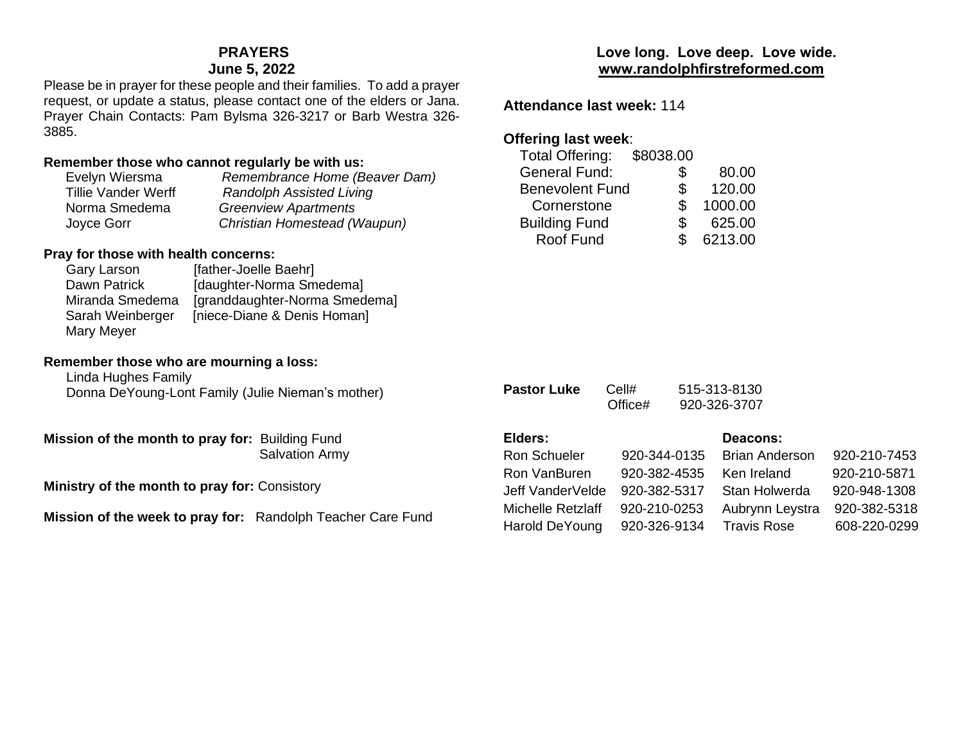# **PRAYERS**

## **June 5, 2022**

Please be in prayer for these people and their families. To add a prayer request, or update a status, please contact one of the elders or Jana. Prayer Chain Contacts: Pam Bylsma 326-3217 or Barb Westra 326- 3885.

## **Remember those who cannot regularly be with us:**

| Evelyn Wiersma             | Remembrance Home (Beaver Dam)   |
|----------------------------|---------------------------------|
| <b>Tillie Vander Werff</b> | <b>Randolph Assisted Living</b> |
| Norma Smedema              | <b>Greenview Apartments</b>     |
| Joyce Gorr                 | Christian Homestead (Waupun)    |

## **Pray for those with health concerns:**

| Gary Larson      | [father-Joelle Baehr]         |
|------------------|-------------------------------|
| Dawn Patrick     | [daughter-Norma Smedema]      |
| Miranda Smedema  | [granddaughter-Norma Smedema] |
| Sarah Weinberger | [niece-Diane & Denis Homan]   |
| Mary Meyer       |                               |

## **Remember those who are mourning a loss:**

Linda Hughes Family Donna DeYoung-Lont Family (Julie Nieman's mother)

**Mission of the month to pray for:** Building Fund Salvation Army

**Ministry of the month to pray for:** Consistory

**Mission of the week to pray for:** Randolph Teacher Care Fund

# **Love long. Love deep. Love wide. [www.randolphfirstreformed.com](http://www.randolphfirstreformed.com/)**

**Attendance last week:** 114

# **Offering last week**:

| 80.00   |
|---------|
| 120.00  |
| 1000.00 |
| 625.00  |
| 6213.00 |
|         |

| <b>Pastor Luke</b>  | Cell#<br>Office# | 515-313-8130<br>920-326-3707 |     |
|---------------------|------------------|------------------------------|-----|
| Elders:             |                  | Deacons:                     |     |
| <b>Ron Schueler</b> | 920-344-0135     | Brian Anderson               | 920 |
| Ron VanBuren        | 920-382-4535     | Ken Ireland                  | 920 |
| Jeff VanderVelde    | 920-382-5317     | Stan Holwerda                | 920 |
| Michelle Retzlaff   | 920-210-0253     | Aubrynn Leystra              | 920 |
|                     |                  |                              |     |

P-210-7453 P-210-5871 )-948-1308 0-382-5318 Harold DeYoung 920-326-9134 Travis Rose 608-220-0299